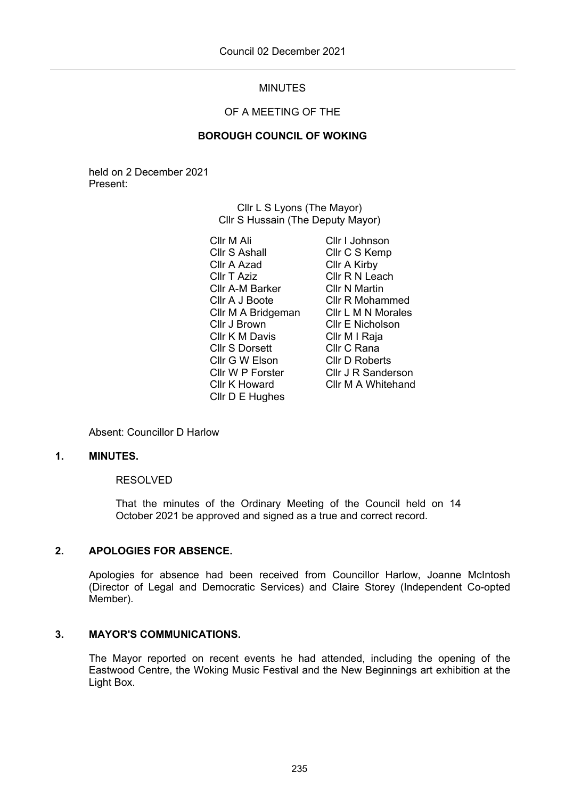# MINUTES

# OF A MEETING OF THE

## **BOROUGH COUNCIL OF WOKING**

held on 2 December 2021 Present:

> Cllr L S Lyons (The Mayor) Cllr S Hussain (The Deputy Mayor)

Cllr M Ali Cllr S Ashall Cllr A Azad Cllr T Aziz Cllr A-M Barker Cllr A J Boote Cllr M A Bridgeman Cllr J Brown Cllr K M Davis Cllr S Dorsett Cllr G W Elson Cllr W P Forster Cllr K Howard Cllr D E Hughes

Cllr I Johnson Cllr C S Kemp Cllr A Kirby Cllr R N Leach Cllr N Martin Cllr R Mohammed Cllr L M N Morales Cllr E Nicholson Cllr M I Raja Cllr C Rana Cllr D Roberts Cllr J R Sanderson Cllr M A Whitehand

Absent: Councillor D Harlow

## **1. MINUTES.**

## RESOLVED

That the minutes of the Ordinary Meeting of the Council held on 14 October 2021 be approved and signed as a true and correct record.

## **2. APOLOGIES FOR ABSENCE.**

Apologies for absence had been received from Councillor Harlow, Joanne McIntosh (Director of Legal and Democratic Services) and Claire Storey (Independent Co-opted Member).

#### **3. MAYOR'S COMMUNICATIONS.**

The Mayor reported on recent events he had attended, including the opening of the Eastwood Centre, the Woking Music Festival and the New Beginnings art exhibition at the Light Box.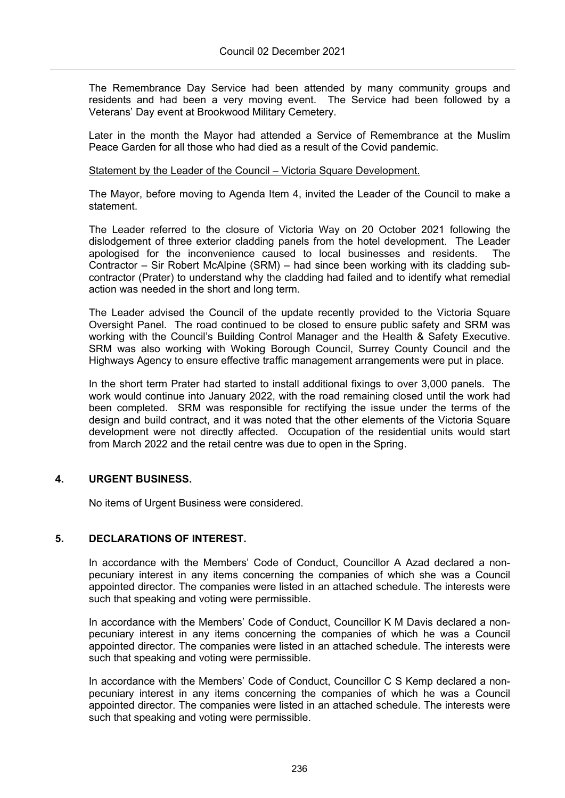The Remembrance Day Service had been attended by many community groups and residents and had been a very moving event. The Service had been followed by a Veterans' Day event at Brookwood Military Cemetery.

Later in the month the Mayor had attended a Service of Remembrance at the Muslim Peace Garden for all those who had died as a result of the Covid pandemic.

#### Statement by the Leader of the Council – Victoria Square Development.

The Mayor, before moving to Agenda Item 4, invited the Leader of the Council to make a statement.

The Leader referred to the closure of Victoria Way on 20 October 2021 following the dislodgement of three exterior cladding panels from the hotel development. The Leader apologised for the inconvenience caused to local businesses and residents. The Contractor – Sir Robert McAlpine (SRM) – had since been working with its cladding subcontractor (Prater) to understand why the cladding had failed and to identify what remedial action was needed in the short and long term.

The Leader advised the Council of the update recently provided to the Victoria Square Oversight Panel. The road continued to be closed to ensure public safety and SRM was working with the Council's Building Control Manager and the Health & Safety Executive. SRM was also working with Woking Borough Council, Surrey County Council and the Highways Agency to ensure effective traffic management arrangements were put in place.

In the short term Prater had started to install additional fixings to over 3,000 panels. The work would continue into January 2022, with the road remaining closed until the work had been completed. SRM was responsible for rectifying the issue under the terms of the design and build contract, and it was noted that the other elements of the Victoria Square development were not directly affected. Occupation of the residential units would start from March 2022 and the retail centre was due to open in the Spring.

## **4. URGENT BUSINESS.**

No items of Urgent Business were considered.

## **5. DECLARATIONS OF INTEREST.**

In accordance with the Members' Code of Conduct, Councillor A Azad declared a nonpecuniary interest in any items concerning the companies of which she was a Council appointed director. The companies were listed in an attached schedule. The interests were such that speaking and voting were permissible.

In accordance with the Members' Code of Conduct, Councillor K M Davis declared a nonpecuniary interest in any items concerning the companies of which he was a Council appointed director. The companies were listed in an attached schedule. The interests were such that speaking and voting were permissible.

In accordance with the Members' Code of Conduct, Councillor C S Kemp declared a nonpecuniary interest in any items concerning the companies of which he was a Council appointed director. The companies were listed in an attached schedule. The interests were such that speaking and voting were permissible.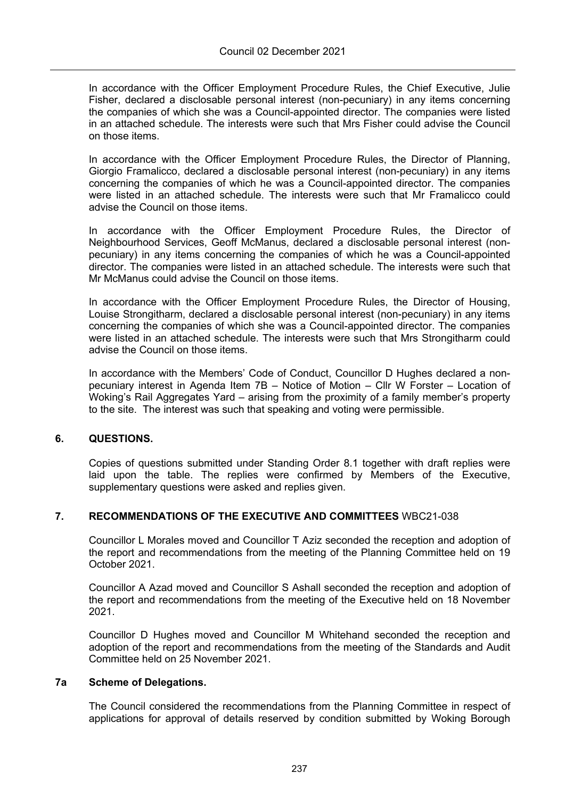In accordance with the Officer Employment Procedure Rules, the Chief Executive, Julie Fisher, declared a disclosable personal interest (non-pecuniary) in any items concerning the companies of which she was a Council-appointed director. The companies were listed in an attached schedule. The interests were such that Mrs Fisher could advise the Council on those items.

In accordance with the Officer Employment Procedure Rules, the Director of Planning, Giorgio Framalicco, declared a disclosable personal interest (non-pecuniary) in any items concerning the companies of which he was a Council-appointed director. The companies were listed in an attached schedule. The interests were such that Mr Framalicco could advise the Council on those items.

In accordance with the Officer Employment Procedure Rules, the Director of Neighbourhood Services, Geoff McManus, declared a disclosable personal interest (nonpecuniary) in any items concerning the companies of which he was a Council-appointed director. The companies were listed in an attached schedule. The interests were such that Mr McManus could advise the Council on those items.

In accordance with the Officer Employment Procedure Rules, the Director of Housing, Louise Strongitharm, declared a disclosable personal interest (non-pecuniary) in any items concerning the companies of which she was a Council-appointed director. The companies were listed in an attached schedule. The interests were such that Mrs Strongitharm could advise the Council on those items.

In accordance with the Members' Code of Conduct, Councillor D Hughes declared a nonpecuniary interest in Agenda Item 7B – Notice of Motion – Cllr W Forster – Location of Woking's Rail Aggregates Yard – arising from the proximity of a family member's property to the site. The interest was such that speaking and voting were permissible.

# **6. QUESTIONS.**

Copies of questions submitted under Standing Order 8.1 together with draft replies were laid upon the table. The replies were confirmed by Members of the Executive, supplementary questions were asked and replies given.

# **7. RECOMMENDATIONS OF THE EXECUTIVE AND COMMITTEES** WBC21-038

Councillor L Morales moved and Councillor T Aziz seconded the reception and adoption of the report and recommendations from the meeting of the Planning Committee held on 19 October 2021.

Councillor A Azad moved and Councillor S Ashall seconded the reception and adoption of the report and recommendations from the meeting of the Executive held on 18 November 2021.

Councillor D Hughes moved and Councillor M Whitehand seconded the reception and adoption of the report and recommendations from the meeting of the Standards and Audit Committee held on 25 November 2021.

## **7a Scheme of Delegations.**

The Council considered the recommendations from the Planning Committee in respect of applications for approval of details reserved by condition submitted by Woking Borough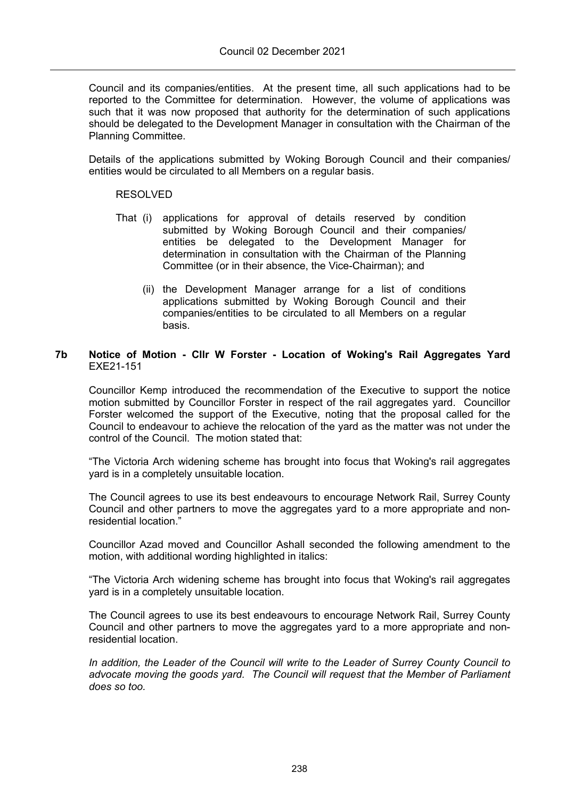Council and its companies/entities. At the present time, all such applications had to be reported to the Committee for determination. However, the volume of applications was such that it was now proposed that authority for the determination of such applications should be delegated to the Development Manager in consultation with the Chairman of the Planning Committee.

Details of the applications submitted by Woking Borough Council and their companies/ entities would be circulated to all Members on a regular basis.

#### RESOLVED

- That (i) applications for approval of details reserved by condition submitted by Woking Borough Council and their companies/ entities be delegated to the Development Manager for determination in consultation with the Chairman of the Planning Committee (or in their absence, the Vice-Chairman); and
	- (ii) the Development Manager arrange for a list of conditions applications submitted by Woking Borough Council and their companies/entities to be circulated to all Members on a regular basis.

## **7b Notice of Motion - Cllr W Forster - Location of Woking's Rail Aggregates Yard** EXE21-151

Councillor Kemp introduced the recommendation of the Executive to support the notice motion submitted by Councillor Forster in respect of the rail aggregates yard. Councillor Forster welcomed the support of the Executive, noting that the proposal called for the Council to endeavour to achieve the relocation of the yard as the matter was not under the control of the Council. The motion stated that:

"The Victoria Arch widening scheme has brought into focus that Woking's rail aggregates yard is in a completely unsuitable location.

The Council agrees to use its best endeavours to encourage Network Rail, Surrey County Council and other partners to move the aggregates yard to a more appropriate and nonresidential location."

Councillor Azad moved and Councillor Ashall seconded the following amendment to the motion, with additional wording highlighted in italics:

"The Victoria Arch widening scheme has brought into focus that Woking's rail aggregates yard is in a completely unsuitable location.

The Council agrees to use its best endeavours to encourage Network Rail, Surrey County Council and other partners to move the aggregates yard to a more appropriate and nonresidential location.

*In addition, the Leader of the Council will write to the Leader of Surrey County Council to advocate moving the goods yard. The Council will request that the Member of Parliament does so too.*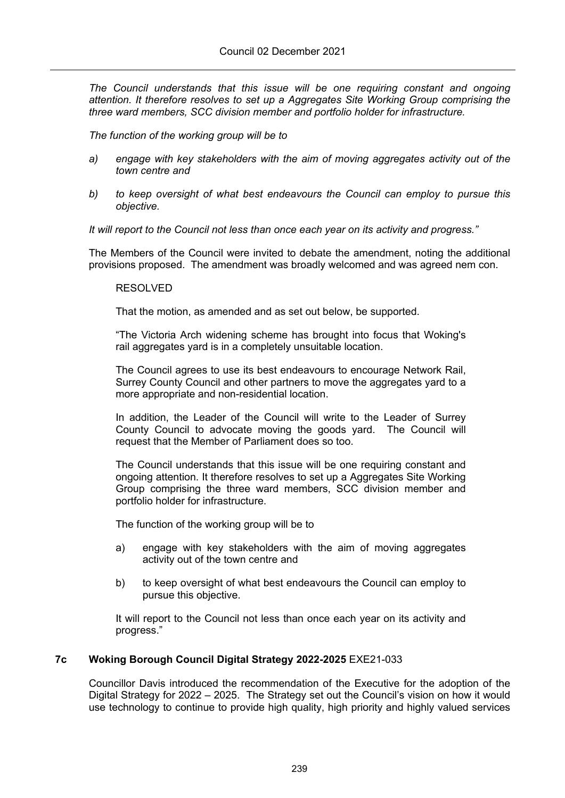*The Council understands that this issue will be one requiring constant and ongoing attention. It therefore resolves to set up a Aggregates Site Working Group comprising the three ward members, SCC division member and portfolio holder for infrastructure.*

*The function of the working group will be to*

- *a) engage with key stakeholders with the aim of moving aggregates activity out of the town centre and*
- *b) to keep oversight of what best endeavours the Council can employ to pursue this objective.*

*It will report to the Council not less than once each year on its activity and progress."*

The Members of the Council were invited to debate the amendment, noting the additional provisions proposed. The amendment was broadly welcomed and was agreed nem con.

#### RESOLVED

That the motion, as amended and as set out below, be supported.

"The Victoria Arch widening scheme has brought into focus that Woking's rail aggregates yard is in a completely unsuitable location.

The Council agrees to use its best endeavours to encourage Network Rail, Surrey County Council and other partners to move the aggregates yard to a more appropriate and non-residential location.

In addition, the Leader of the Council will write to the Leader of Surrey County Council to advocate moving the goods yard. The Council will request that the Member of Parliament does so too.

The Council understands that this issue will be one requiring constant and ongoing attention. It therefore resolves to set up a Aggregates Site Working Group comprising the three ward members, SCC division member and portfolio holder for infrastructure.

The function of the working group will be to

- a) engage with key stakeholders with the aim of moving aggregates activity out of the town centre and
- b) to keep oversight of what best endeavours the Council can employ to pursue this objective.

It will report to the Council not less than once each year on its activity and progress."

## **7c Woking Borough Council Digital Strategy 2022-2025** EXE21-033

Councillor Davis introduced the recommendation of the Executive for the adoption of the Digital Strategy for 2022 – 2025. The Strategy set out the Council's vision on how it would use technology to continue to provide high quality, high priority and highly valued services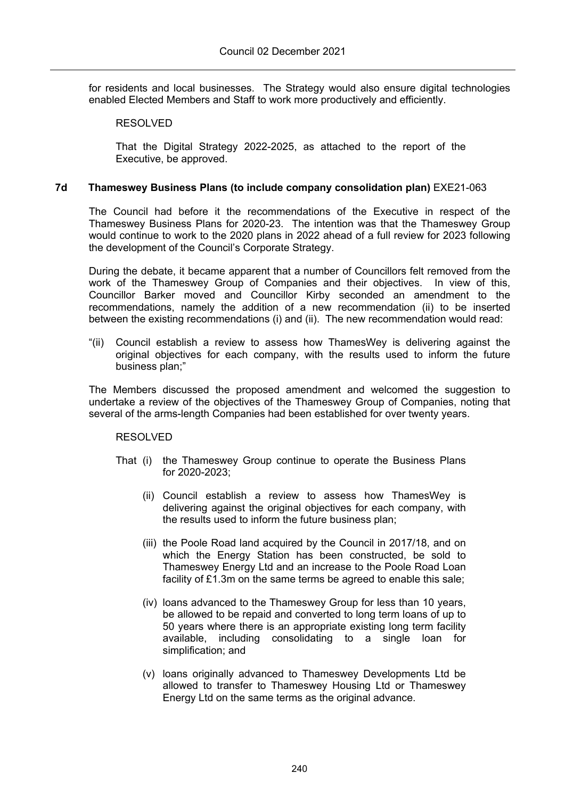for residents and local businesses. The Strategy would also ensure digital technologies enabled Elected Members and Staff to work more productively and efficiently.

## RESOLVED

That the Digital Strategy 2022-2025, as attached to the report of the Executive, be approved.

## **7d Thameswey Business Plans (to include company consolidation plan)** EXE21-063

The Council had before it the recommendations of the Executive in respect of the Thameswey Business Plans for 2020-23. The intention was that the Thameswey Group would continue to work to the 2020 plans in 2022 ahead of a full review for 2023 following the development of the Council's Corporate Strategy.

During the debate, it became apparent that a number of Councillors felt removed from the work of the Thameswey Group of Companies and their objectives. In view of this, Councillor Barker moved and Councillor Kirby seconded an amendment to the recommendations, namely the addition of a new recommendation (ii) to be inserted between the existing recommendations (i) and (ii). The new recommendation would read:

"(ii) Council establish a review to assess how ThamesWey is delivering against the original objectives for each company, with the results used to inform the future business plan;"

The Members discussed the proposed amendment and welcomed the suggestion to undertake a review of the objectives of the Thameswey Group of Companies, noting that several of the arms-length Companies had been established for over twenty years.

## RESOLVED

- That (i) the Thameswey Group continue to operate the Business Plans for 2020-2023;
	- (ii) Council establish a review to assess how ThamesWey is delivering against the original objectives for each company, with the results used to inform the future business plan;
	- (iii) the Poole Road land acquired by the Council in 2017/18, and on which the Energy Station has been constructed, be sold to Thameswey Energy Ltd and an increase to the Poole Road Loan facility of £1.3m on the same terms be agreed to enable this sale;
	- (iv) loans advanced to the Thameswey Group for less than 10 years, be allowed to be repaid and converted to long term loans of up to 50 years where there is an appropriate existing long term facility available, including consolidating to a single loan for simplification; and
	- (v) loans originally advanced to Thameswey Developments Ltd be allowed to transfer to Thameswey Housing Ltd or Thameswey Energy Ltd on the same terms as the original advance.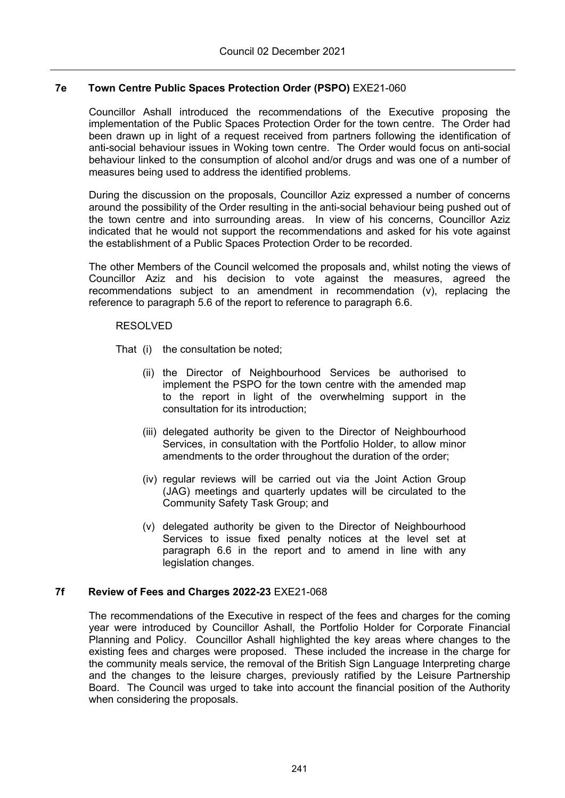## **7e Town Centre Public Spaces Protection Order (PSPO)** EXE21-060

Councillor Ashall introduced the recommendations of the Executive proposing the implementation of the Public Spaces Protection Order for the town centre. The Order had been drawn up in light of a request received from partners following the identification of anti-social behaviour issues in Woking town centre. The Order would focus on anti-social behaviour linked to the consumption of alcohol and/or drugs and was one of a number of measures being used to address the identified problems.

During the discussion on the proposals, Councillor Aziz expressed a number of concerns around the possibility of the Order resulting in the anti-social behaviour being pushed out of the town centre and into surrounding areas. In view of his concerns, Councillor Aziz indicated that he would not support the recommendations and asked for his vote against the establishment of a Public Spaces Protection Order to be recorded.

The other Members of the Council welcomed the proposals and, whilst noting the views of Councillor Aziz and his decision to vote against the measures, agreed the recommendations subject to an amendment in recommendation (v), replacing the reference to paragraph 5.6 of the report to reference to paragraph 6.6.

#### RESOLVED

That (i) the consultation be noted;

- (ii) the Director of Neighbourhood Services be authorised to implement the PSPO for the town centre with the amended map to the report in light of the overwhelming support in the consultation for its introduction;
- (iii) delegated authority be given to the Director of Neighbourhood Services, in consultation with the Portfolio Holder, to allow minor amendments to the order throughout the duration of the order;
- (iv) regular reviews will be carried out via the Joint Action Group (JAG) meetings and quarterly updates will be circulated to the Community Safety Task Group; and
- (v) delegated authority be given to the Director of Neighbourhood Services to issue fixed penalty notices at the level set at paragraph 6.6 in the report and to amend in line with any legislation changes.

## **7f Review of Fees and Charges 2022-23** EXE21-068

The recommendations of the Executive in respect of the fees and charges for the coming year were introduced by Councillor Ashall, the Portfolio Holder for Corporate Financial Planning and Policy. Councillor Ashall highlighted the key areas where changes to the existing fees and charges were proposed. These included the increase in the charge for the community meals service, the removal of the British Sign Language Interpreting charge and the changes to the leisure charges, previously ratified by the Leisure Partnership Board. The Council was urged to take into account the financial position of the Authority when considering the proposals.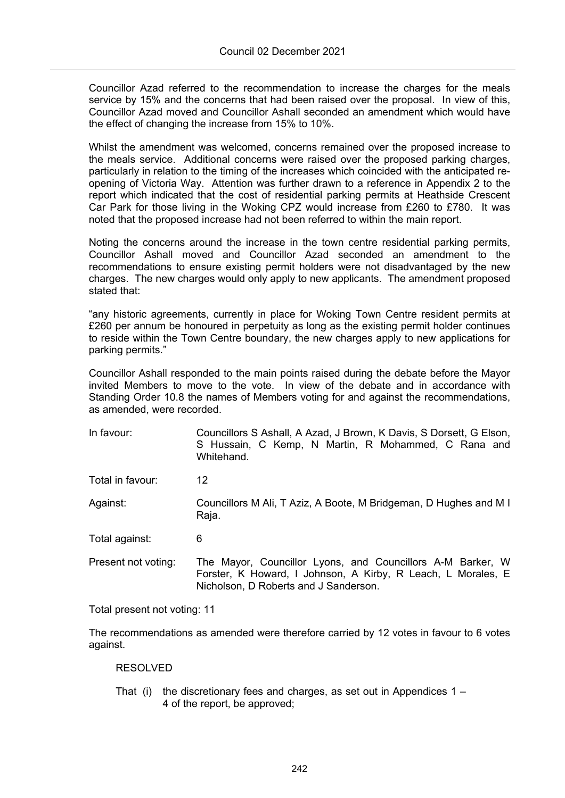Councillor Azad referred to the recommendation to increase the charges for the meals service by 15% and the concerns that had been raised over the proposal. In view of this, Councillor Azad moved and Councillor Ashall seconded an amendment which would have the effect of changing the increase from 15% to 10%.

Whilst the amendment was welcomed, concerns remained over the proposed increase to the meals service. Additional concerns were raised over the proposed parking charges, particularly in relation to the timing of the increases which coincided with the anticipated reopening of Victoria Way. Attention was further drawn to a reference in Appendix 2 to the report which indicated that the cost of residential parking permits at Heathside Crescent Car Park for those living in the Woking CPZ would increase from £260 to £780. It was noted that the proposed increase had not been referred to within the main report.

Noting the concerns around the increase in the town centre residential parking permits, Councillor Ashall moved and Councillor Azad seconded an amendment to the recommendations to ensure existing permit holders were not disadvantaged by the new charges. The new charges would only apply to new applicants. The amendment proposed stated that:

"any historic agreements, currently in place for Woking Town Centre resident permits at £260 per annum be honoured in perpetuity as long as the existing permit holder continues to reside within the Town Centre boundary, the new charges apply to new applications for parking permits."

Councillor Ashall responded to the main points raised during the debate before the Mayor invited Members to move to the vote. In view of the debate and in accordance with Standing Order 10.8 the names of Members voting for and against the recommendations, as amended, were recorded.

| In favour:          | Councillors S Ashall, A Azad, J Brown, K Davis, S Dorsett, G Elson,<br>S Hussain, C Kemp, N Martin, R Mohammed, C Rana and<br>Whitehand.                            |
|---------------------|---------------------------------------------------------------------------------------------------------------------------------------------------------------------|
| Total in favour:    | 12                                                                                                                                                                  |
| Against:            | Councillors M Ali, T Aziz, A Boote, M Bridgeman, D Hughes and M I<br>Raja.                                                                                          |
| Total against:      | 6                                                                                                                                                                   |
| Present not voting: | The Mayor, Councillor Lyons, and Councillors A-M Barker, W<br>Forster, K Howard, I Johnson, A Kirby, R Leach, L Morales, E<br>Nicholson, D Roberts and J Sanderson. |

Total present not voting: 11

The recommendations as amended were therefore carried by 12 votes in favour to 6 votes against.

## RESOLVED

That (i) the discretionary fees and charges, as set out in Appendices  $1 -$ 4 of the report, be approved;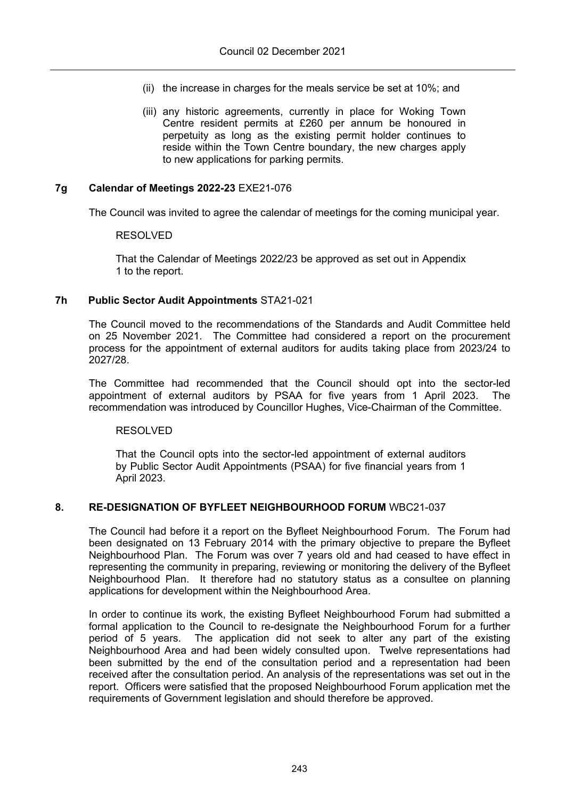- (ii) the increase in charges for the meals service be set at 10%; and
- (iii) any historic agreements, currently in place for Woking Town Centre resident permits at £260 per annum be honoured in perpetuity as long as the existing permit holder continues to reside within the Town Centre boundary, the new charges apply to new applications for parking permits.

#### **7g Calendar of Meetings 2022-23** EXE21-076

The Council was invited to agree the calendar of meetings for the coming municipal year.

#### RESOLVED

That the Calendar of Meetings 2022/23 be approved as set out in Appendix 1 to the report.

#### **7h Public Sector Audit Appointments** STA21-021

The Council moved to the recommendations of the Standards and Audit Committee held on 25 November 2021. The Committee had considered a report on the procurement process for the appointment of external auditors for audits taking place from 2023/24 to 2027/28.

The Committee had recommended that the Council should opt into the sector-led appointment of external auditors by PSAA for five years from 1 April 2023. The recommendation was introduced by Councillor Hughes, Vice-Chairman of the Committee.

#### RESOLVED

That the Council opts into the sector-led appointment of external auditors by Public Sector Audit Appointments (PSAA) for five financial years from 1 April 2023.

#### **8. RE-DESIGNATION OF BYFLEET NEIGHBOURHOOD FORUM** WBC21-037

The Council had before it a report on the Byfleet Neighbourhood Forum. The Forum had been designated on 13 February 2014 with the primary objective to prepare the Byfleet Neighbourhood Plan. The Forum was over 7 years old and had ceased to have effect in representing the community in preparing, reviewing or monitoring the delivery of the Byfleet Neighbourhood Plan. It therefore had no statutory status as a consultee on planning applications for development within the Neighbourhood Area.

In order to continue its work, the existing Byfleet Neighbourhood Forum had submitted a formal application to the Council to re-designate the Neighbourhood Forum for a further period of 5 years. The application did not seek to alter any part of the existing Neighbourhood Area and had been widely consulted upon. Twelve representations had been submitted by the end of the consultation period and a representation had been received after the consultation period. An analysis of the representations was set out in the report. Officers were satisfied that the proposed Neighbourhood Forum application met the requirements of Government legislation and should therefore be approved.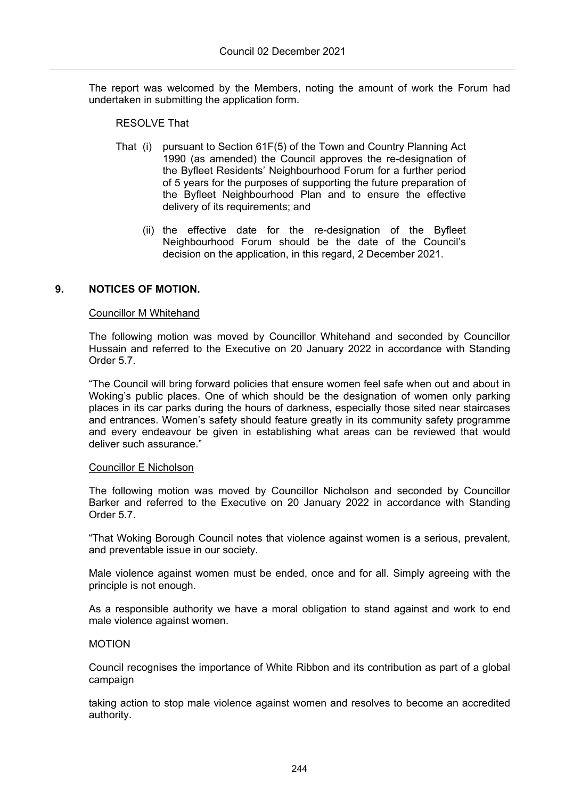The report was welcomed by the Members, noting the amount of work the Forum had undertaken in submitting the application form.

#### RESOLVE That

- That (i) pursuant to Section 61F(5) of the Town and Country Planning Act 1990 (as amended) the Council approves the re-designation of the Byfleet Residents' Neighbourhood Forum for a further period of 5 years for the purposes of supporting the future preparation of the Byfleet Neighbourhood Plan and to ensure the effective delivery of its requirements; and
	- (ii) the effective date for the re-designation of the Byfleet Neighbourhood Forum should be the date of the Council's decision on the application, in this regard, 2 December 2021.

## **9. NOTICES OF MOTION.**

#### Councillor M Whitehand

The following motion was moved by Councillor Whitehand and seconded by Councillor Hussain and referred to the Executive on 20 January 2022 in accordance with Standing Order 5.7.

"The Council will bring forward policies that ensure women feel safe when out and about in Woking's public places. One of which should be the designation of women only parking places in its car parks during the hours of darkness, especially those sited near staircases and entrances. Women's safety should feature greatly in its community safety programme and every endeavour be given in establishing what areas can be reviewed that would deliver such assurance."

#### Councillor E Nicholson

The following motion was moved by Councillor Nicholson and seconded by Councillor Barker and referred to the Executive on 20 January 2022 in accordance with Standing Order 5.7.

"That Woking Borough Council notes that violence against women is a serious, prevalent, and preventable issue in our society.

Male violence against women must be ended, once and for all. Simply agreeing with the principle is not enough.

As a responsible authority we have a moral obligation to stand against and work to end male violence against women.

#### MOTION

Council recognises the importance of White Ribbon and its contribution as part of a global campaign

taking action to stop male violence against women and resolves to become an accredited authority.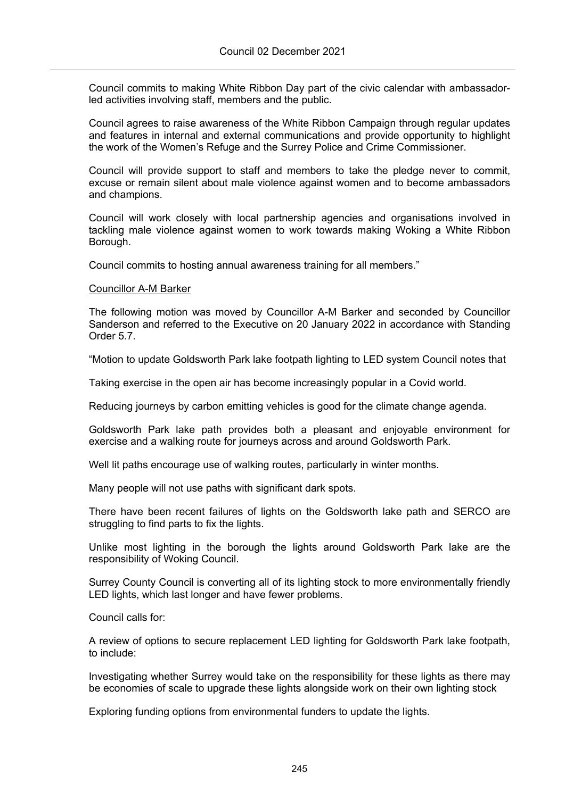Council commits to making White Ribbon Day part of the civic calendar with ambassadorled activities involving staff, members and the public.

Council agrees to raise awareness of the White Ribbon Campaign through regular updates and features in internal and external communications and provide opportunity to highlight the work of the Women's Refuge and the Surrey Police and Crime Commissioner.

Council will provide support to staff and members to take the pledge never to commit, excuse or remain silent about male violence against women and to become ambassadors and champions.

Council will work closely with local partnership agencies and organisations involved in tackling male violence against women to work towards making Woking a White Ribbon Borough.

Council commits to hosting annual awareness training for all members."

#### Councillor A-M Barker

The following motion was moved by Councillor A-M Barker and seconded by Councillor Sanderson and referred to the Executive on 20 January 2022 in accordance with Standing Order 5.7.

"Motion to update Goldsworth Park lake footpath lighting to LED system Council notes that

Taking exercise in the open air has become increasingly popular in a Covid world.

Reducing journeys by carbon emitting vehicles is good for the climate change agenda.

Goldsworth Park lake path provides both a pleasant and enjoyable environment for exercise and a walking route for journeys across and around Goldsworth Park.

Well lit paths encourage use of walking routes, particularly in winter months.

Many people will not use paths with significant dark spots.

There have been recent failures of lights on the Goldsworth lake path and SERCO are struggling to find parts to fix the lights.

Unlike most lighting in the borough the lights around Goldsworth Park lake are the responsibility of Woking Council.

Surrey County Council is converting all of its lighting stock to more environmentally friendly LED lights, which last longer and have fewer problems.

Council calls for:

A review of options to secure replacement LED lighting for Goldsworth Park lake footpath, to include:

Investigating whether Surrey would take on the responsibility for these lights as there may be economies of scale to upgrade these lights alongside work on their own lighting stock

Exploring funding options from environmental funders to update the lights.